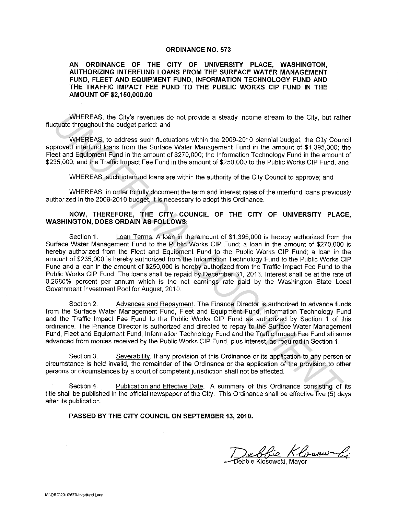## **ORDINANCE NO. 573**

**AN ORDINANCE OF THE CITY OF UNIVERSITY PLACE, WASHINGTON, AUTHORIZING INTERFUND LOANS FROM THE SURFACE WATER MANAGEMENT FUND, FLEET AND EQUIPMENT FUND, INFORMATION TECHNOLOGY FUND AND THE TRAFFIC IMPACT FEE FUND TO THE PUBLIC WORKS CIP FUND IN THE AMOUNT OF \$2,150,000.00** 

WHEREAS, the City's revenues do not provide a steady income stream to the City, but rather fluctuate throughout the budget period; and

WHEREAS, to address such fluctuations within the 2009-2010 biennial budget, the City Council approved interfund loans from the Surface Water Management Fund in the amount of \$1,395,000; the Fleet and Equipment Fund in the amount of \$270,000; the Information Technology Fund in the amount of \$235,000; and the Traffic Impact Fee Fund in the amount of \$250,000 to the Public Works GIP Fund; and

WHEREAS, such interfund loans are within the authority of the City Council to approve; and

WHEREAS, in order to fully document the term and interest rates of the interfund loans previously authorized in the 2009-2010 budget, it is necessary to adopt this Ordinance.

## **NOW, THEREFORE, THE CITY COUNCIL OF THE CITY OF UNIVERSITY PLACE, WASHINGTON, DOES ORDAIN AS FOLLOWS:**

Section **1.** Loan Terms. A loan in the amount of \$1,395,000 is hereby authorized from the Surface Water Management Fund to the Public Works GIP Fund; a loan in the amount of \$270,000 is hereby authorized from the Fleet and Equipment Fund to the Public Works GIP Fund; a loan in the amount of \$235,000 is hereby authorized from the Information Technology Fund to the Public Works GIP Fund and a loan in the amount of \$250,000 is hereby authorized from the Traffic Impact Fee Fund to the Public Works GIP Fund. The loans shall be repaid by December 31, 2013. Interest shall be at the rate of 0.2680% percent per annum which is the net earnings rate paid by the Washington State Local Government Investment Pool for August, 2010. WHEREAS, the City's revenues do not provide a steady income stream to the City, but rattitude throughout the budget period; and<br>
WHEREAS, to address such fluctuations within the 2008-2010 biennial budget, the City Cour<br>
pr

Section 2. Advances and Repayment. The Finance Director is authorized to advance funds from the Surface Water Management Fund, Fleet and Equipment Fund, Information Technology Fund and the Traffic Impact Fee Fund to the Public Works GIP Fund as authorized by Section **1** of this ordinance. The Finance Director is authorized and directed to repay to the Surface Water Management Fund, Fleet and Equipment Fund, Information Technology Fund and the Traffic Impact Fee Fund all sums advanced from monies received by the Public Works GIP Fund, plus interest, as required in Section 1.

Section 3. Severability. If any provision of this Ordinance or its application to any person or circumstance is held invalid, the remainder of the Ordinance or the application of the provision to other persons or circumstances by a court of competent jurisdiction shall not be affected.

Section 4. Publication and Effective Date. A summary of this Ordinance consisting of its title shall be published in the official newspaper of the City. This Ordinance shall be effective five (5) days after its publication.

**PASSED BY THE CITY COUNCIL ON SEPTEMBER 13, 2010.** 

Deblie Klosow by